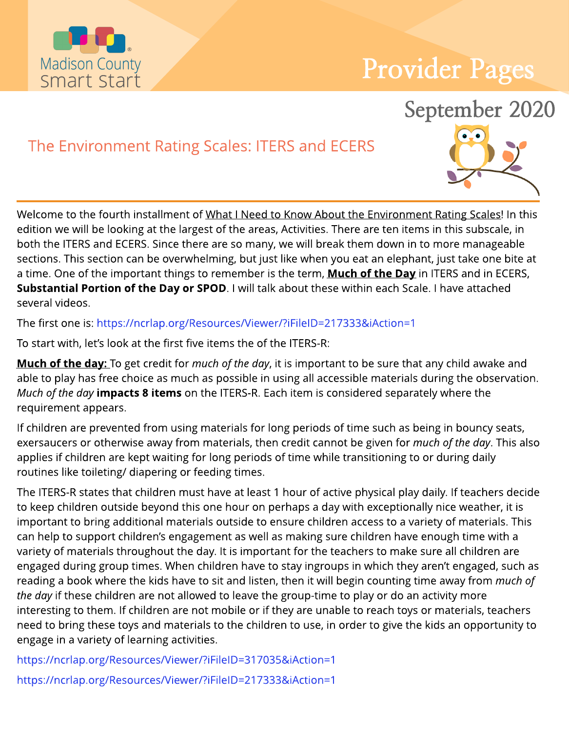

# Provider Pages

## September 2020

### The Environment Rating Scales: ITERS and ECERS



Welcome to the fourth installment of What I Need to Know About the Environment Rating Scales! In this edition we will be looking at the largest of the areas, Activities. There are ten items in this subscale, in both the ITERS and ECERS. Since there are so many, we will break them down in to more manageable sections. This section can be overwhelming, but just like when you eat an elephant, just take one bite at a time. One of the important things to remember is the term, **Much of the Day** in ITERS and in ECERS, Substantial Portion of the Day or SPOD. I will talk about these within each Scale. I have attached several videos.

The first one is: https://ncrlap.org/Resources/Viewer/?iFileID=217333&iAction=1

To start with, let's look at the first five items the of the ITERS-R:

**Much of the day:** To get credit for *much of the day*, it is important to be sure that any child awake and able to play has free choice as much as possible in using all accessible materials during the observation. **Much of the day <b>impacts 8 items** on the ITERS-R. Each item is considered separately where the requirement appears.

If children are prevented from using materials for long periods of time such as being in bouncy seats, exersaucers or otherwise away from materials, then credit cannot be given for **much of the day**. This also applies if children are kept waiting for long periods of time while transitioning to or during daily routines like toileting/ diapering or feeding times.

The ITERS-R states that children must have at least 1 hour of active physical play daily. If teachers decide to keep children outside beyond this one hour on perhaps a day with exceptionally nice weather, it is important to bring additional materials outside to ensure children access to a variety of materials. This can help to support children's engagement as well as making sure children have enough time with a variety of materials throughout the day. It is important for the teachers to make sure all children are engaged during group times. When children have to stay ingroups in which they aren't engaged, such as reading a book where the kids have to sit and listen, then it will begin counting time away from **much of the day** if these children are not allowed to leave the group-time to play or do an activity more interesting to them. If children are not mobile or if they are unable to reach toys or materials, teachers need to bring these toys and materials to the children to use, in order to give the kids an opportunity to engage in a variety of learning activities.

https://ncrlap.org/Resources/Viewer/?iFileID=317035&iAction=1 https://ncrlap.org/Resources/Viewer/?iFileID=217333&iAction=1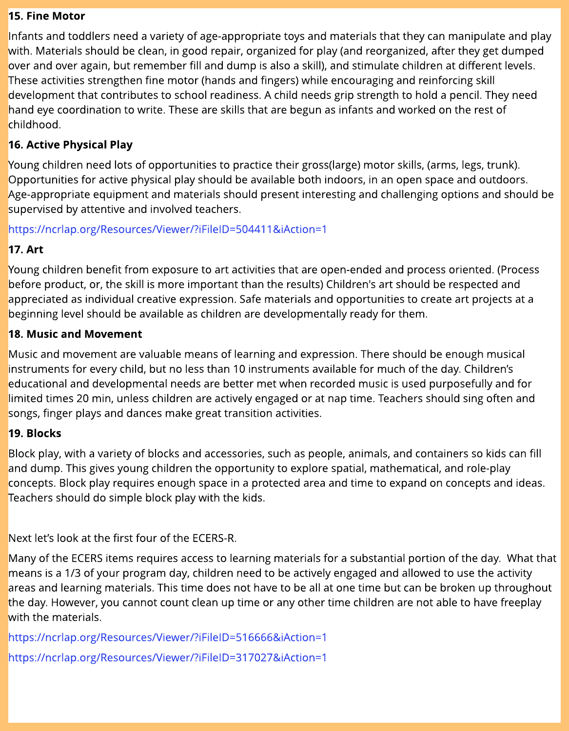#### 15. Fine Motor

Infants and toddlers need a variety of age-appropriate toys and materials that they can manipulate and play with. Materials should be clean, in good repair, organized for play (and reorganized, after they get dumped over and over again, but remember fill and dump is also a skill), and stimulate children at different levels. These activities strengthen fine motor (hands and fingers) while encouraging and reinforcing skill development that contributes to school readiness. A child needs grip strength to hold a pencil. They need hand eye coordination to write. These are skills that are begun as infants and worked on the rest of childhood.

#### 16. Active Physical Play

Young children need lots of opportunities to practice their gross(large) motor skills, (arms, legs, trunk). Opportunities for active physical play should be available both indoors, in an open space and outdoors. Age-appropriate equipment and materials should present interesting and challenging options and should be supervised by attentive and involved teachers.

#### https://ncrlap.org/Resources/Viewer/?iFileID=504411&iAction=1

#### 17. Art

Young children benefit from exposure to art activities that are open-ended and process oriented. (Process before product, or, the skill is more important than the results) Children's art should be respected and appreciated as individual creative expression. Safe materials and opportunities to create art projects at a beginning level should be available as children are developmentally ready for them.

#### 18. Music and Movement

Music and movement are valuable means of learning and expression. There should be enough musical instruments for every child, but no less than 10 instruments available for much of the day. Children?s educational and developmental needs are better met when recorded music is used purposefully and for limited times 20 min, unless children are actively engaged or at nap time. Teachers should sing often and songs, finger plays and dances make great transition activities.

#### 19. Blocks

Block play, with a variety of blocks and accessories, such as people, animals, and containers so kids can fill and dump. This gives young children the opportunity to explore spatial, mathematical, and role-play concepts. Block play requires enough space in a protected area and time to expand on concepts and ideas. Teachers should do simple block play with the kids.

Next let's look at the first four of the ECERS-R.

Many of the ECERSitems requires access to learning materials for a substantial portion of the day. What that means is a 1/3 of your program day, children need to be actively engaged and allowed to use the activity areas and learning materials. This time does not have to be all at one time but can be broken up throughout the day. However, you cannot count clean up time or any other time children are not able to have freeplay with the materials.

https://ncrlap.org/Resources/Viewer/?iFileID=516666&iAction=1 https://ncrlap.org/Resources/Viewer/?iFileID=317027&iAction=1